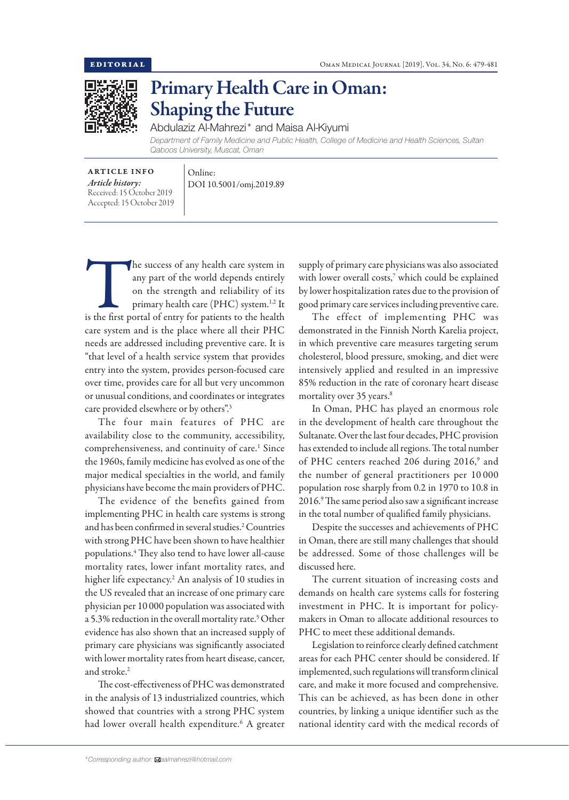

## Primary Health Care in Oman: Shaping the Future

Abdulaziz Al-Mahrezi\* and Maisa Al-Kiyumi

*Department of Family Medicine and Public Health, College of Medicine and Health Sciences, Sultan Qaboos University, Muscat, Oman*

ARTICLE INFO *Article history:* Received: 15 October 2019 Accepted: 15 October 2019

DOI 10.5001/omj.2019.89

Online:

The success of any health care system in<br>
any part of the world depends entirely<br>
on the strength and reliability of its<br>
primary health care (PHC) system.<sup>1,2</sup> It<br>
is the first portal of entry for patients to the health any part of the world depends entirely on the strength and reliability of its primary health care (PHC) system.<sup>1,2</sup> It care system and is the place where all their PHC needs are addressed including preventive care. It is "that level of a health service system that provides entry into the system, provides person-focused care over time, provides care for all but very uncommon or unusual conditions, and coordinates or integrates care provided elsewhere or by others".3

The four main features of PHC are availability close to the community, accessibility, comprehensiveness, and continuity of care.<sup>1</sup> Since the 1960s, family medicine has evolved as one of the major medical specialties in the world, and family physicians have become the main providers of PHC.

The evidence of the benefits gained from implementing PHC in health care systems is strong and has been confirmed in several studies.2 Countries with strong PHC have been shown to have healthier populations.4 They also tend to have lower all-cause mortality rates, lower infant mortality rates, and higher life expectancy.2 An analysis of 10 studies in the US revealed that an increase of one primary care physician per 10 000 population was associated with a 5.3% reduction in the overall mortality rate.5 Other evidence has also shown that an increased supply of primary care physicians was significantly associated with lower mortality rates from heart disease, cancer, and stroke.<sup>2</sup>

The cost-effectiveness of PHC was demonstrated in the analysis of 13 industrialized countries, which showed that countries with a strong PHC system had lower overall health expenditure.6 A greater

supply of primary care physicians was also associated with lower overall costs,7 which could be explained by lower hospitalization rates due to the provision of good primary care services including preventive care.

The effect of implementing PHC was demonstrated in the Finnish North Karelia project, in which preventive care measures targeting serum cholesterol, blood pressure, smoking, and diet were intensively applied and resulted in an impressive 85% reduction in the rate of coronary heart disease mortality over 35 years.<sup>8</sup>

In Oman, PHC has played an enormous role in the development of health care throughout the Sultanate. Over the last four decades, PHC provision has extended to include all regions. The total number of PHC centers reached 206 during 2016,<sup>9</sup> and the number of general practitioners per 10 000 population rose sharply from 0.2 in 1970 to 10.8 in 2016.9 The same period also saw a significant increase in the total number of qualified family physicians.

Despite the successes and achievements of PHC in Oman, there are still many challenges that should be addressed. Some of those challenges will be discussed here.

The current situation of increasing costs and demands on health care systems calls for fostering investment in PHC. It is important for policymakers in Oman to allocate additional resources to PHC to meet these additional demands.

Legislation to reinforce clearly defined catchment areas for each PHC center should be considered. If implemented, such regulations will transform clinical care, and make it more focused and comprehensive. This can be achieved, as has been done in other countries, by linking a unique identifier such as the national identity card with the medical records of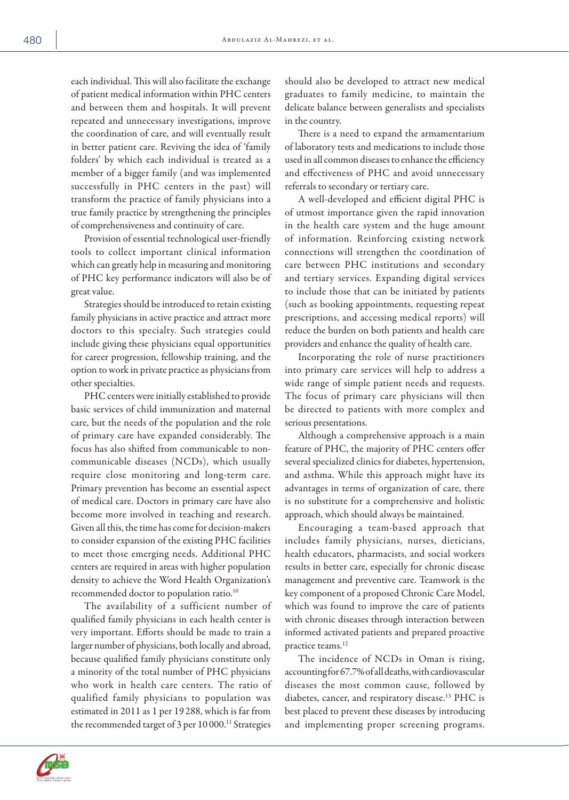each individual. This will also facilitate the exchange of patient medical information within PHC centers and between them and hospitals. It will prevent repeated and unnecessary investigations, improve the coordination of care, and will eventually result in better patient care. Reviving the idea of 'family folders' by which each individual is treated as a member of a bigger family (and was implemented successfully in PHC centers in the past) will transform the practice of family physicians into a true family practice by strengthening the principles of comprehensiveness and continuity of care.

Provision of essential technological user-friendly tools to collect important clinical information which can greatly help in measuring and monitoring of PHC key performance indicators will also be of great value.

Strategies should be introduced to retain existing family physicians in active practice and attract more doctors to this specialty. Such strategies could include giving these physicians equal opportunities for career progression, fellowship training, and the option to work in private practice as physicians from other specialties.

PHC centers were initially established to provide basic services of child immunization and maternal care, but the needs of the population and the role of primary care have expanded considerably. The focus has also shifted from communicable to noncommunicable diseases (NCDs), which usually require close monitoring and long-term care. Primary prevention has become an essential aspect of medical care. Doctors in primary care have also become more involved in teaching and research. Given all this, the time has come for decision-makers to consider expansion of the existing PHC facilities to meet those emerging needs. Additional PHC centers are required in areas with higher population density to achieve the Word Health Organization's recommended doctor to population ratio.10

The availability of a sufficient number of qualified family physicians in each health center is very important. Efforts should be made to train a larger number of physicians, both locally and abroad, because qualified family physicians constitute only a minority of the total number of PHC physicians who work in health care centers. The ratio of qualified family physicians to population was estimated in 2011 as 1 per 19 288, which is far from the recommended target of 3 per 10 000.<sup>11</sup> Strategies

should also be developed to attract new medical graduates to family medicine, to maintain the delicate balance between generalists and specialists in the country.

There is a need to expand the armamentarium of laboratory tests and medications to include those used in all common diseases to enhance the efficiency and effectiveness of PHC and avoid unnecessary referrals to secondary or tertiary care.

A well-developed and efficient digital PHC is of utmost importance given the rapid innovation in the health care system and the huge amount of information. Reinforcing existing network connections will strengthen the coordination of care between PHC institutions and secondary and tertiary services. Expanding digital services to include those that can be initiated by patients (such as booking appointments, requesting repeat prescriptions, and accessing medical reports) will reduce the burden on both patients and health care providers and enhance the quality of health care.

Incorporating the role of nurse practitioners into primary care services will help to address a wide range of simple patient needs and requests. The focus of primary care physicians will then be directed to patients with more complex and serious presentations.

Although a comprehensive approach is a main feature of PHC, the majority of PHC centers offer several specialized clinics for diabetes, hypertension, and asthma. While this approach might have its advantages in terms of organization of care, there is no substitute for a comprehensive and holistic approach, which should always be maintained.

Encouraging a team-based approach that includes family physicians, nurses, dieticians, health educators, pharmacists, and social workers results in better care, especially for chronic disease management and preventive care. Teamwork is the key component of a proposed Chronic Care Model, which was found to improve the care of patients with chronic diseases through interaction between informed activated patients and prepared proactive practice teams.<sup>12</sup>

The incidence of NCDs in Oman is rising, accounting for 67.7% of all deaths, with cardiovascular diseases the most common cause, followed by diabetes, cancer, and respiratory disease.13 PHC is best placed to prevent these diseases by introducing and implementing proper screening programs.